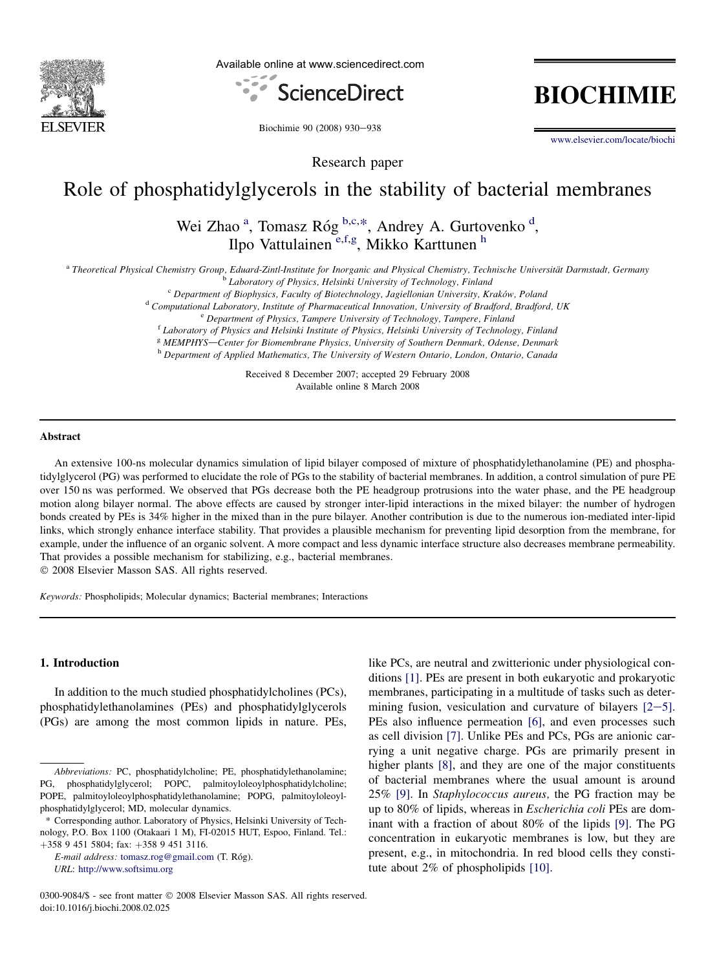

Available online at www.sciencedirect.com



**BIOCHIMIE** 

Biochimie 90 (2008) 930-938

[www.elsevier.com/locate/biochi](http://www.elsevier.com/locate/biochi)

Research paper

# Role of phosphatidylglycerols in the stability of bacterial membranes

Wei Zhao<sup>a</sup>, Tomasz Róg<sup>b,c,\*</sup>, Andrey A. Gurtovenko<sup>d</sup>, Ilpo Vattulainen<sup>e,f,g</sup>, Mikko Karttunen<sup>h</sup>

a Theoretical Physical Chemistry Group, Eduard-Zintl-Institute for Inorganic and Physical Chemistry, Technische Universität Darmstadt, Germany<br>
Laboratory of Physics, Helsinki University of Technology, Finland<br>
<sup>e</sup> Departm

<sup>g</sup> MEMPHYS—Center for Biomembrane Physics, University of Southern Denmark, Odense, Denmark h Department of Applied Mathematics, The University of Western Ontario, London, Ontario, Canada

Received 8 December 2007; accepted 29 February 2008 Available online 8 March 2008

## Abstract

An extensive 100-ns molecular dynamics simulation of lipid bilayer composed of mixture of phosphatidylethanolamine (PE) and phosphatidylglycerol (PG) was performed to elucidate the role of PGs to the stability of bacterial membranes. In addition, a control simulation of pure PE over 150 ns was performed. We observed that PGs decrease both the PE headgroup protrusions into the water phase, and the PE headgroup motion along bilayer normal. The above effects are caused by stronger inter-lipid interactions in the mixed bilayer: the number of hydrogen bonds created by PEs is 34% higher in the mixed than in the pure bilayer. Another contribution is due to the numerous ion-mediated inter-lipid links, which strongly enhance interface stability. That provides a plausible mechanism for preventing lipid desorption from the membrane, for example, under the influence of an organic solvent. A more compact and less dynamic interface structure also decreases membrane permeability. That provides a possible mechanism for stabilizing, e.g., bacterial membranes.

- 2008 Elsevier Masson SAS. All rights reserved.

Keywords: Phospholipids; Molecular dynamics; Bacterial membranes; Interactions

# 1. Introduction

In addition to the much studied phosphatidylcholines (PCs), phosphatidylethanolamines (PEs) and phosphatidylglycerols (PGs) are among the most common lipids in nature. PEs,

E-mail address: [tomasz.rog@gmail.com](mailto:tomasz.rog@gmail.com) (T. Róg). URL: <http://www.softsimu.org>

like PCs, are neutral and zwitterionic under physiological conditions [\[1\]](#page-7-0). PEs are present in both eukaryotic and prokaryotic membranes, participating in a multitude of tasks such as determining fusion, vesiculation and curvature of bilayers  $[2-5]$  $[2-5]$  $[2-5]$ . PEs also influence permeation [\[6\],](#page-7-0) and even processes such as cell division [\[7\]](#page-7-0). Unlike PEs and PCs, PGs are anionic carrying a unit negative charge. PGs are primarily present in higher plants [\[8\]](#page-7-0), and they are one of the major constituents of bacterial membranes where the usual amount is around 25% [\[9\].](#page-7-0) In Staphylococcus aureus, the PG fraction may be up to 80% of lipids, whereas in Escherichia coli PEs are dominant with a fraction of about 80% of the lipids [\[9\].](#page-7-0) The PG concentration in eukaryotic membranes is low, but they are present, e.g., in mitochondria. In red blood cells they constitute about 2% of phospholipids [\[10\].](#page-7-0)

Abbreviations: PC, phosphatidylcholine; PE, phosphatidylethanolamine; PG, phosphatidylglycerol; POPC, palmitoyloleoylphosphatidylcholine; POPE, palmitoyloleoylphosphatidylethanolamine; POPG, palmitoyloleoylphosphatidylglycerol; MD, molecular dynamics.

<sup>\*</sup> Corresponding author. Laboratory of Physics, Helsinki University of Technology, P.O. Box 1100 (Otakaari 1 M), FI-02015 HUT, Espoo, Finland. Tel.: +358 9 451 5804; fax: +358 9 451 3116.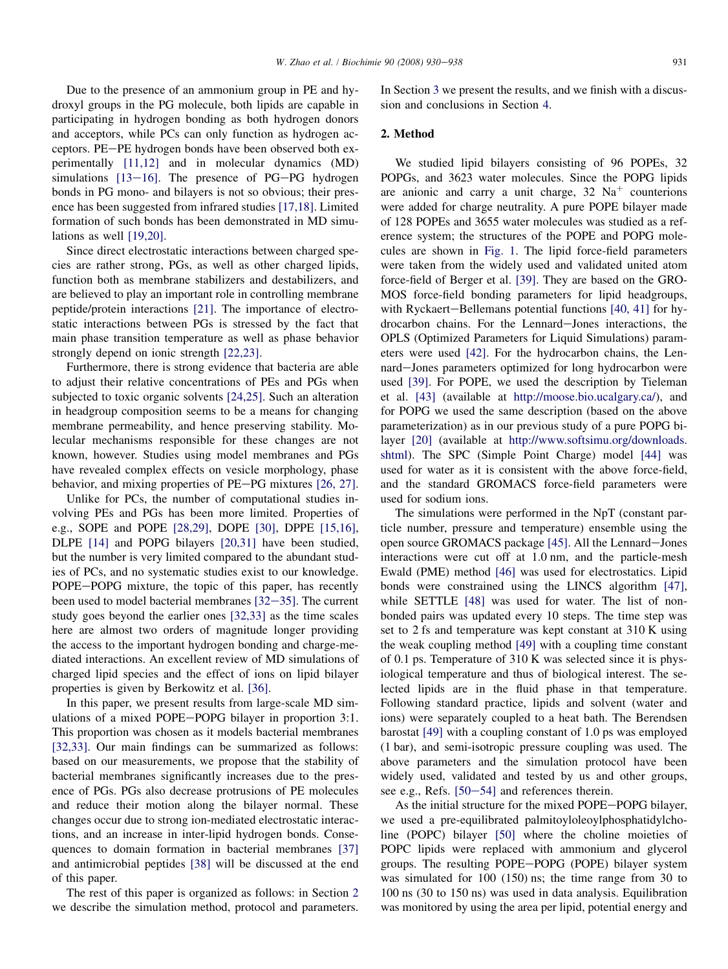Due to the presence of an ammonium group in PE and hydroxyl groups in the PG molecule, both lipids are capable in participating in hydrogen bonding as both hydrogen donors and acceptors, while PCs can only function as hydrogen acceptors. PE-PE hydrogen bonds have been observed both experimentally [\[11,12\]](#page-7-0) and in molecular dynamics (MD) simulations  $[13-16]$  $[13-16]$  $[13-16]$ . The presence of PG-PG hydrogen bonds in PG mono- and bilayers is not so obvious; their presence has been suggested from infrared studies [\[17,18\].](#page-7-0) Limited formation of such bonds has been demonstrated in MD simu-lations as well [\[19,20\].](#page-7-0)

Since direct electrostatic interactions between charged species are rather strong, PGs, as well as other charged lipids, function both as membrane stabilizers and destabilizers, and are believed to play an important role in controlling membrane peptide/protein interactions [\[21\].](#page-7-0) The importance of electrostatic interactions between PGs is stressed by the fact that main phase transition temperature as well as phase behavior strongly depend on ionic strength [\[22,23\]](#page-7-0).

Furthermore, there is strong evidence that bacteria are able to adjust their relative concentrations of PEs and PGs when subjected to toxic organic solvents [\[24,25\].](#page-8-0) Such an alteration in headgroup composition seems to be a means for changing membrane permeability, and hence preserving stability. Molecular mechanisms responsible for these changes are not known, however. Studies using model membranes and PGs have revealed complex effects on vesicle morphology, phase behavior, and mixing properties of  $PE-PG$  mixtures  $[26, 27]$ .

Unlike for PCs, the number of computational studies involving PEs and PGs has been more limited. Properties of e.g., SOPE and POPE [\[28,29\],](#page-8-0) DOPE [\[30\],](#page-8-0) DPPE [\[15,16\]](#page-7-0), DLPE [\[14\]](#page-7-0) and POPG bilayers [\[20,31\]](#page-7-0) have been studied, but the number is very limited compared to the abundant studies of PCs, and no systematic studies exist to our knowledge. POPE-POPG mixture, the topic of this paper, has recently been used to model bacterial membranes  $[32-35]$  $[32-35]$  $[32-35]$ . The current study goes beyond the earlier ones [\[32,33\]](#page-8-0) as the time scales here are almost two orders of magnitude longer providing the access to the important hydrogen bonding and charge-mediated interactions. An excellent review of MD simulations of charged lipid species and the effect of ions on lipid bilayer properties is given by Berkowitz et al. [\[36\].](#page-8-0)

In this paper, we present results from large-scale MD simulations of a mixed POPE-POPG bilayer in proportion 3:1. This proportion was chosen as it models bacterial membranes [\[32,33\].](#page-8-0) Our main findings can be summarized as follows: based on our measurements, we propose that the stability of bacterial membranes significantly increases due to the presence of PGs. PGs also decrease protrusions of PE molecules and reduce their motion along the bilayer normal. These changes occur due to strong ion-mediated electrostatic interactions, and an increase in inter-lipid hydrogen bonds. Consequences to domain formation in bacterial membranes [\[37\]](#page-8-0) and antimicrobial peptides [\[38\]](#page-8-0) will be discussed at the end of this paper.

The rest of this paper is organized as follows: in Section 2 we describe the simulation method, protocol and parameters. In Section [3](#page-2-0) we present the results, and we finish with a discussion and conclusions in Section [4](#page-6-0).

# 2. Method

We studied lipid bilayers consisting of 96 POPEs, 32 POPGs, and 3623 water molecules. Since the POPG lipids are anionic and carry a unit charge,  $32 \text{ Na}^+$  counterions were added for charge neutrality. A pure POPE bilayer made of 128 POPEs and 3655 water molecules was studied as a reference system; the structures of the POPE and POPG molecules are shown in [Fig. 1.](#page-2-0) The lipid force-field parameters were taken from the widely used and validated united atom force-field of Berger et al. [\[39\].](#page-8-0) They are based on the GRO-MOS force-field bonding parameters for lipid headgroups, with Ryckaert-Bellemans potential functions  $[40, 41]$  for hydrocarbon chains. For the Lennard-Jones interactions, the OPLS (Optimized Parameters for Liquid Simulations) parameters were used [\[42\].](#page-8-0) For the hydrocarbon chains, the Lennard-Jones parameters optimized for long hydrocarbon were used [\[39\].](#page-8-0) For POPE, we used the description by Tieleman et al. [\[43\]](#page-8-0) (available at [http://moose.bio.ucalgary.ca/\)](http://moose.bio.ucalgary.ca), and for POPG we used the same description (based on the above parameterization) as in our previous study of a pure POPG bilayer [\[20\]](#page-7-0) (available at [http://www.softsimu.org/downloads.](http://www.softsimu.org/downloads.shtml) [shtml\)](http://www.softsimu.org/downloads.shtml). The SPC (Simple Point Charge) model [\[44\]](#page-8-0) was used for water as it is consistent with the above force-field, and the standard GROMACS force-field parameters were used for sodium ions.

The simulations were performed in the NpT (constant particle number, pressure and temperature) ensemble using the open source GROMACS package [\[45\].](#page-8-0) All the Lennard-Jones interactions were cut off at 1.0 nm, and the particle-mesh Ewald (PME) method [\[46\]](#page-8-0) was used for electrostatics. Lipid bonds were constrained using the LINCS algorithm [\[47\]](#page-8-0), while SETTLE [\[48\]](#page-8-0) was used for water. The list of nonbonded pairs was updated every 10 steps. The time step was set to 2 fs and temperature was kept constant at 310 K using the weak coupling method [\[49\]](#page-8-0) with a coupling time constant of 0.1 ps. Temperature of 310 K was selected since it is physiological temperature and thus of biological interest. The selected lipids are in the fluid phase in that temperature. Following standard practice, lipids and solvent (water and ions) were separately coupled to a heat bath. The Berendsen barostat [\[49\]](#page-8-0) with a coupling constant of 1.0 ps was employed (1 bar), and semi-isotropic pressure coupling was used. The above parameters and the simulation protocol have been widely used, validated and tested by us and other groups, see e.g., Refs.  $[50-54]$  $[50-54]$  $[50-54]$  and references therein.

As the initial structure for the mixed POPE-POPG bilayer, we used a pre-equilibrated palmitoyloleoylphosphatidylcholine (POPC) bilayer [\[50\]](#page-8-0) where the choline moieties of POPC lipids were replaced with ammonium and glycerol groups. The resulting POPE-POPG (POPE) bilayer system was simulated for 100 (150) ns; the time range from 30 to 100 ns (30 to 150 ns) was used in data analysis. Equilibration was monitored by using the area per lipid, potential energy and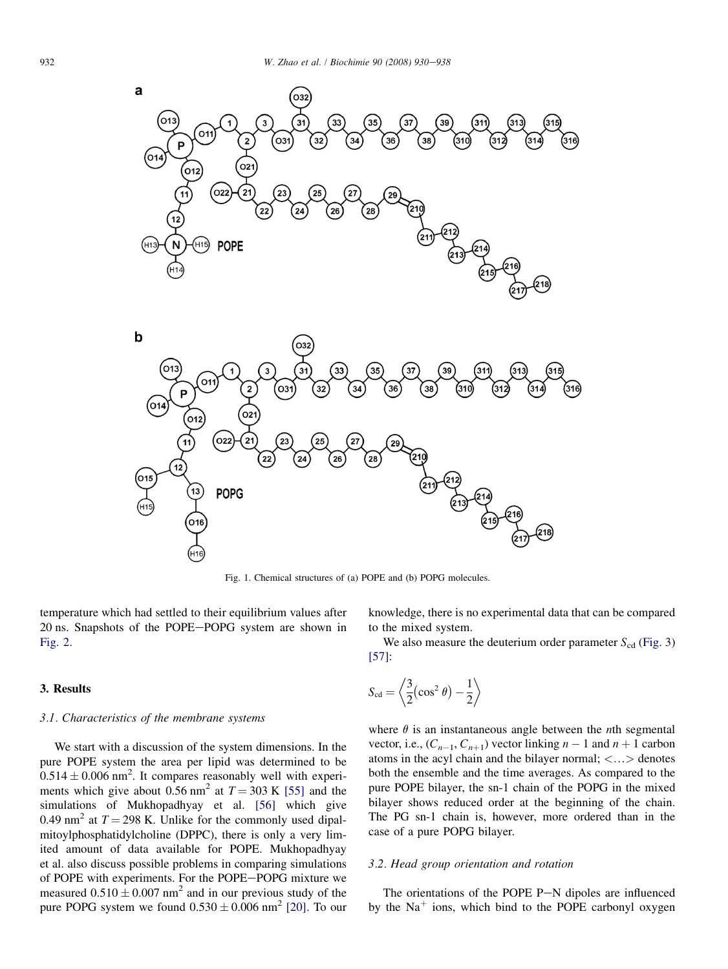<span id="page-2-0"></span>



Fig. 1. Chemical structures of (a) POPE and (b) POPG molecules.

temperature which had settled to their equilibrium values after 20 ns. Snapshots of the POPE-POPG system are shown in [Fig. 2.](#page-3-0)

#### 3. Results

# 3.1. Characteristics of the membrane systems

We start with a discussion of the system dimensions. In the pure POPE system the area per lipid was determined to be  $0.514 \pm 0.006$  nm<sup>2</sup>. It compares reasonably well with experiments which give about 0.56 nm<sup>2</sup> at  $T = 303$  K [\[55\]](#page-8-0) and the simulations of Mukhopadhyay et al. [\[56\]](#page-8-0) which give 0.49 nm<sup>2</sup> at  $T = 298$  K. Unlike for the commonly used dipalmitoylphosphatidylcholine (DPPC), there is only a very limited amount of data available for POPE. Mukhopadhyay et al. also discuss possible problems in comparing simulations of POPE with experiments. For the POPE-POPG mixture we measured  $0.510 \pm 0.007$  nm<sup>2</sup> and in our previous study of the pure POPG system we found  $0.530 \pm 0.006$  nm<sup>2</sup> [\[20\].](#page-7-0) To our

knowledge, there is no experimental data that can be compared to the mixed system.

We also measure the deuterium order parameter  $S_{cd}$  [\(Fig. 3](#page-3-0)) [\[57\]](#page-8-0):

$$
S_{\rm cd} = \left\langle \frac{3}{2} (\cos^2 \theta) - \frac{1}{2} \right\rangle
$$

where  $\theta$  is an instantaneous angle between the *n*th segmental vector, i.e.,  $(C_{n-1}, C_{n+1})$  vector linking  $n - 1$  and  $n + 1$  carbon atoms in the acyl chain and the bilayer normal;  $\langle \ldots \rangle$  denotes both the ensemble and the time averages. As compared to the pure POPE bilayer, the sn-1 chain of the POPG in the mixed bilayer shows reduced order at the beginning of the chain. The PG sn-1 chain is, however, more ordered than in the case of a pure POPG bilayer.

# 3.2. Head group orientation and rotation

The orientations of the POPE  $P-N$  dipoles are influenced by the  $Na<sup>+</sup>$  ions, which bind to the POPE carbonyl oxygen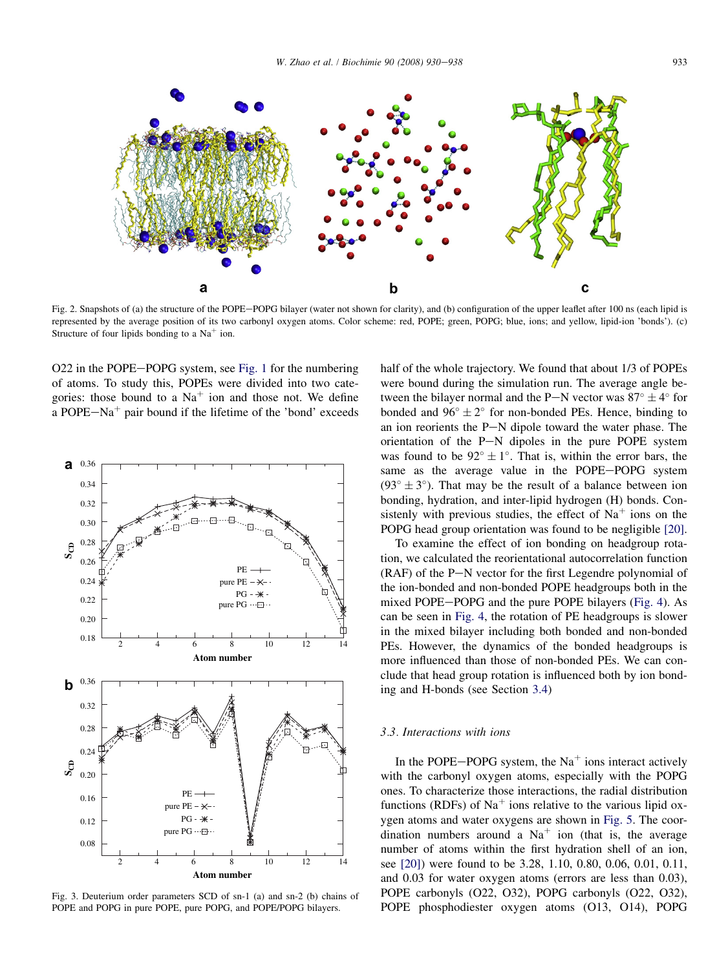<span id="page-3-0"></span>

Fig. 2. Snapshots of (a) the structure of the POPE-POPG bilayer (water not shown for clarity), and (b) configuration of the upper leaflet after 100 ns (each lipid is represented by the average position of its two carbonyl oxygen atoms. Color scheme: red, POPE; green, POPG; blue, ions; and yellow, lipid-ion 'bonds'). (c) Structure of four lipids bonding to a  $Na<sup>+</sup>$  ion.

O22 in the POPE-POPG system, see [Fig. 1](#page-2-0) for the numbering of atoms. To study this, POPEs were divided into two categories: those bound to a  $Na<sup>+</sup>$  ion and those not. We define a POPE $-Na^+$  pair bound if the lifetime of the 'bond' exceeds



Fig. 3. Deuterium order parameters SCD of sn-1 (a) and sn-2 (b) chains of POPE and POPG in pure POPE, pure POPG, and POPE/POPG bilayers.

half of the whole trajectory. We found that about 1/3 of POPEs were bound during the simulation run. The average angle between the bilayer normal and the P-N vector was  $87^{\circ} \pm 4^{\circ}$  for bonded and  $96^{\circ} \pm 2^{\circ}$  for non-bonded PEs. Hence, binding to an ion reorients the  $P-N$  dipole toward the water phase. The orientation of the  $P-N$  dipoles in the pure POPE system was found to be  $92^{\circ} \pm 1^{\circ}$ . That is, within the error bars, the same as the average value in the POPE-POPG system  $(93^{\circ} \pm 3^{\circ})$ . That may be the result of a balance between ion bonding, hydration, and inter-lipid hydrogen (H) bonds. Consistenly with previous studies, the effect of  $Na<sup>+</sup>$  ions on the POPG head group orientation was found to be negligible [\[20\]](#page-7-0).

To examine the effect of ion bonding on headgroup rotation, we calculated the reorientational autocorrelation function  $(RAF)$  of the P $-N$  vector for the first Legendre polynomial of the ion-bonded and non-bonded POPE headgroups both in the mixed POPE-POPG and the pure POPE bilayers ([Fig. 4\)](#page-4-0). As can be seen in [Fig. 4](#page-4-0), the rotation of PE headgroups is slower in the mixed bilayer including both bonded and non-bonded PEs. However, the dynamics of the bonded headgroups is more influenced than those of non-bonded PEs. We can conclude that head group rotation is influenced both by ion bonding and H-bonds (see Section [3.4](#page-5-0))

#### 3.3. Interactions with ions

In the POPE-POPG system, the  $Na<sup>+</sup>$  ions interact actively with the carbonyl oxygen atoms, especially with the POPG ones. To characterize those interactions, the radial distribution functions (RDFs) of  $Na<sup>+</sup>$  ions relative to the various lipid oxygen atoms and water oxygens are shown in [Fig. 5.](#page-4-0) The coordination numbers around a  $Na<sup>+</sup>$  ion (that is, the average number of atoms within the first hydration shell of an ion, see [\[20\]](#page-7-0)) were found to be 3.28, 1.10, 0.80, 0.06, 0.01, 0.11, and 0.03 for water oxygen atoms (errors are less than 0.03), POPE carbonyls (O22, O32), POPG carbonyls (O22, O32), POPE phosphodiester oxygen atoms (O13, O14), POPG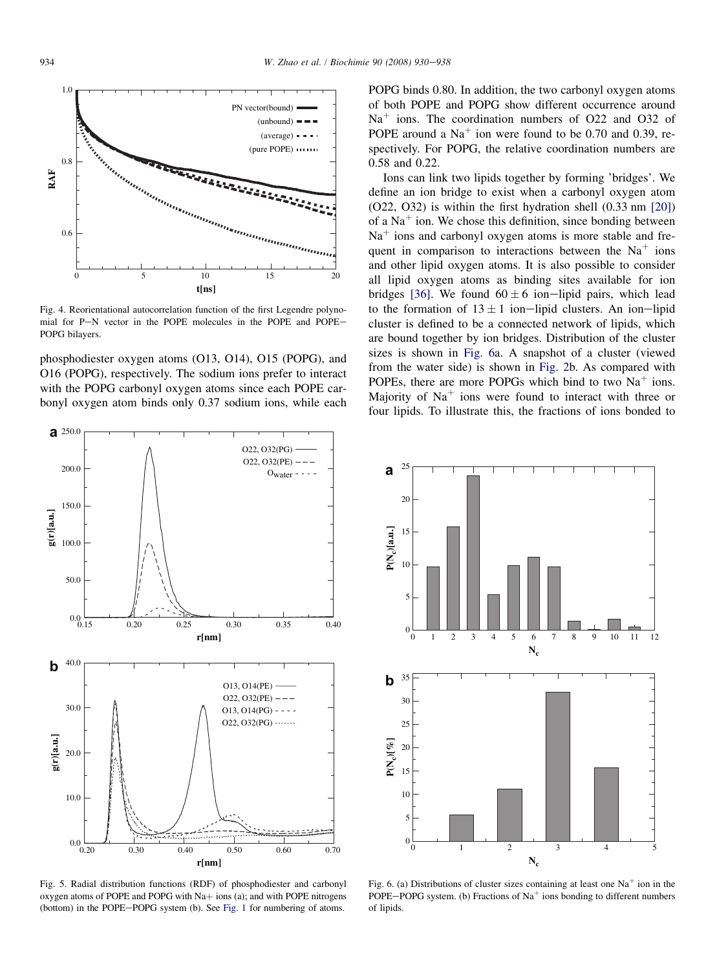<span id="page-4-0"></span>

Fig. 4. Reorientational autocorrelation function of the first Legendre polynomial for P-N vector in the POPE molecules in the POPE and POPE-POPG bilayers.

phosphodiester oxygen atoms (O13, O14), O15 (POPG), and O16 (POPG), respectively. The sodium ions prefer to interact with the POPG carbonyl oxygen atoms since each POPE carbonyl oxygen atom binds only 0.37 sodium ions, while each



Fig. 5. Radial distribution functions (RDF) of phosphodiester and carbonyl oxygen atoms of POPE and POPG with  $Na+$  ions (a); and with POPE nitrogens (bottom) in the POPE-POPG system (b). See [Fig. 1](#page-2-0) for numbering of atoms.

POPG binds 0.80. In addition, the two carbonyl oxygen atoms of both POPE and POPG show different occurrence around  $Na<sup>+</sup>$  ions. The coordination numbers of O22 and O32 of POPE around a  $Na<sup>+</sup>$  ion were found to be 0.70 and 0.39, respectively. For POPG, the relative coordination numbers are 0.58 and 0.22.

Ions can link two lipids together by forming 'bridges'. We define an ion bridge to exist when a carbonyl oxygen atom (O22, O32) is within the first hydration shell (0.33 nm [\[20\]](#page-7-0)) of a  $Na<sup>+</sup>$  ion. We chose this definition, since bonding between  $Na<sup>+</sup>$  ions and carbonyl oxygen atoms is more stable and frequent in comparison to interactions between the  $Na<sup>+</sup>$  ions and other lipid oxygen atoms. It is also possible to consider all lipid oxygen atoms as binding sites available for ion bridges [\[36\]](#page-8-0). We found  $60 \pm 6$  ion-lipid pairs, which lead to the formation of  $13 \pm 1$  ion-lipid clusters. An ion-lipid cluster is defined to be a connected network of lipids, which are bound together by ion bridges. Distribution of the cluster sizes is shown in Fig. 6a. A snapshot of a cluster (viewed from the water side) is shown in [Fig. 2](#page-3-0)b. As compared with POPEs, there are more POPGs which bind to two  $Na<sup>+</sup>$  ions. Majority of  $Na<sup>+</sup>$  ions were found to interact with three or four lipids. To illustrate this, the fractions of ions bonded to



Fig. 6. (a) Distributions of cluster sizes containing at least one  $Na<sup>+</sup>$  ion in the POPE-POPG system. (b) Fractions of  $Na<sup>+</sup>$  ions bonding to different numbers of lipids.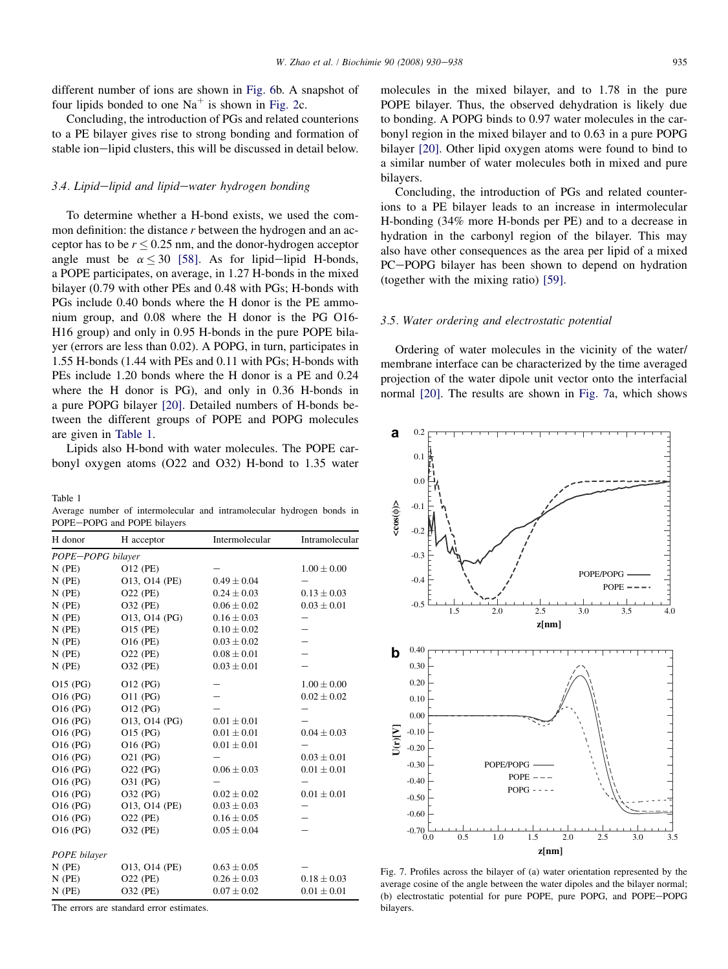<span id="page-5-0"></span>different number of ions are shown in [Fig. 6b](#page-4-0). A snapshot of four lipids bonded to one  $Na<sup>+</sup>$  is shown in [Fig. 2c](#page-3-0).

Concluding, the introduction of PGs and related counterions to a PE bilayer gives rise to strong bonding and formation of stable ion-lipid clusters, this will be discussed in detail below.

#### $3.4.$  Lipid-lipid and lipid-water hydrogen bonding

To determine whether a H-bond exists, we used the common definition: the distance r between the hydrogen and an acceptor has to be  $r \le 0.25$  nm, and the donor-hydrogen acceptor angle must be  $\alpha \leq 30$  [\[58\]](#page-8-0). As for lipid-lipid H-bonds, a POPE participates, on average, in 1.27 H-bonds in the mixed bilayer (0.79 with other PEs and 0.48 with PGs; H-bonds with PGs include 0.40 bonds where the H donor is the PE ammonium group, and 0.08 where the H donor is the PG O16- H16 group) and only in 0.95 H-bonds in the pure POPE bilayer (errors are less than 0.02). A POPG, in turn, participates in 1.55 H-bonds (1.44 with PEs and 0.11 with PGs; H-bonds with PEs include 1.20 bonds where the H donor is a PE and 0.24 where the H donor is PG), and only in 0.36 H-bonds in a pure POPG bilayer [\[20\]](#page-7-0). Detailed numbers of H-bonds between the different groups of POPE and POPG molecules are given in Table 1.

Lipids also H-bond with water molecules. The POPE carbonyl oxygen atoms (O22 and O32) H-bond to 1.35 water

Table 1

Average number of intermolecular and intramolecular hydrogen bonds in POPE-POPG and POPE bilayers

| H donor           | H acceptor      | Intermolecular  | Intramolecular  |
|-------------------|-----------------|-----------------|-----------------|
| POPE-POPG bilayer |                 |                 |                 |
| $N$ (PE)          | O12 (PE)        |                 | $1.00 \pm 0.00$ |
| $N$ (PE)          | 013, 014 (PE)   | $0.49 \pm 0.04$ |                 |
| $N$ (PE)          | O22 (PE)        | $0.24 \pm 0.03$ | $0.13 \pm 0.03$ |
| $N$ (PE)          | O32 (PE)        | $0.06 \pm 0.02$ | $0.03 \pm 0.01$ |
| $N$ (PE)          | 013, 014 (PG)   | $0.16 \pm 0.03$ |                 |
| $N$ (PE)          | O15 (PE)        | $0.10 \pm 0.02$ | —               |
| $N$ (PE)          | O16 (PE)        | $0.03 \pm 0.02$ |                 |
| $N$ (PE)          | <b>O22 (PE)</b> | $0.08 \pm 0.01$ |                 |
| $N$ (PE)          | <b>O32 (PE)</b> | $0.03 \pm 0.01$ |                 |
| O15 (PG)          | O12 (PG)        |                 | $1.00 + 0.00$   |
| O16 (PG)          | O11 (PG)        |                 | $0.02 \pm 0.02$ |
| O16 (PG)          | O12 (PG)        |                 |                 |
| O16 (PG)          | O13, O14 (PG)   | $0.01 \pm 0.01$ |                 |
| O16 (PG)          | O15 (PG)        | $0.01 \pm 0.01$ | $0.04 \pm 0.03$ |
| O16 (PG)          | O16 (PG)        | $0.01 \pm 0.01$ |                 |
| O16 (PG)          | O21 (PG)        |                 | $0.03 \pm 0.01$ |
| O16 (PG)          | O22 (PG)        | $0.06 \pm 0.03$ | $0.01 \pm 0.01$ |
| O16 (PG)          | O31 (PG)        |                 |                 |
| O16 (PG)          | O32 (PG)        | $0.02 \pm 0.02$ | $0.01 \pm 0.01$ |
| O16 (PG)          | O13, O14 (PE)   | $0.03 \pm 0.03$ |                 |
| O16 (PG)          | O22 (PE)        | $0.16 \pm 0.05$ |                 |
| O16 (PG)          | <b>O32 (PE)</b> | $0.05 \pm 0.04$ |                 |
| POPE bilayer      |                 |                 |                 |
| $N$ (PE)          | 013, 014 (PE)   | $0.63 \pm 0.05$ |                 |
| $N$ (PE)          | O22 (PE)        | $0.26 \pm 0.03$ | $0.18 + 0.03$   |
| $N$ (PE)          | O32 (PE)        | $0.07 \pm 0.02$ | $0.01 \pm 0.01$ |

The errors are standard error estimates.

molecules in the mixed bilayer, and to 1.78 in the pure POPE bilayer. Thus, the observed dehydration is likely due to bonding. A POPG binds to 0.97 water molecules in the carbonyl region in the mixed bilayer and to 0.63 in a pure POPG bilayer [\[20\]](#page-7-0). Other lipid oxygen atoms were found to bind to a similar number of water molecules both in mixed and pure bilayers.

Concluding, the introduction of PGs and related counterions to a PE bilayer leads to an increase in intermolecular H-bonding (34% more H-bonds per PE) and to a decrease in hydration in the carbonyl region of the bilayer. This may also have other consequences as the area per lipid of a mixed PC-POPG bilayer has been shown to depend on hydration (together with the mixing ratio) [\[59\]](#page-8-0).

# 3.5. Water ordering and electrostatic potential

Ordering of water molecules in the vicinity of the water/ membrane interface can be characterized by the time averaged projection of the water dipole unit vector onto the interfacial normal [\[20\]](#page-7-0). The results are shown in Fig. 7a, which shows



Fig. 7. Profiles across the bilayer of (a) water orientation represented by the average cosine of the angle between the water dipoles and the bilayer normal; (b) electrostatic potential for pure POPE, pure POPG, and POPE-POPG bilayers.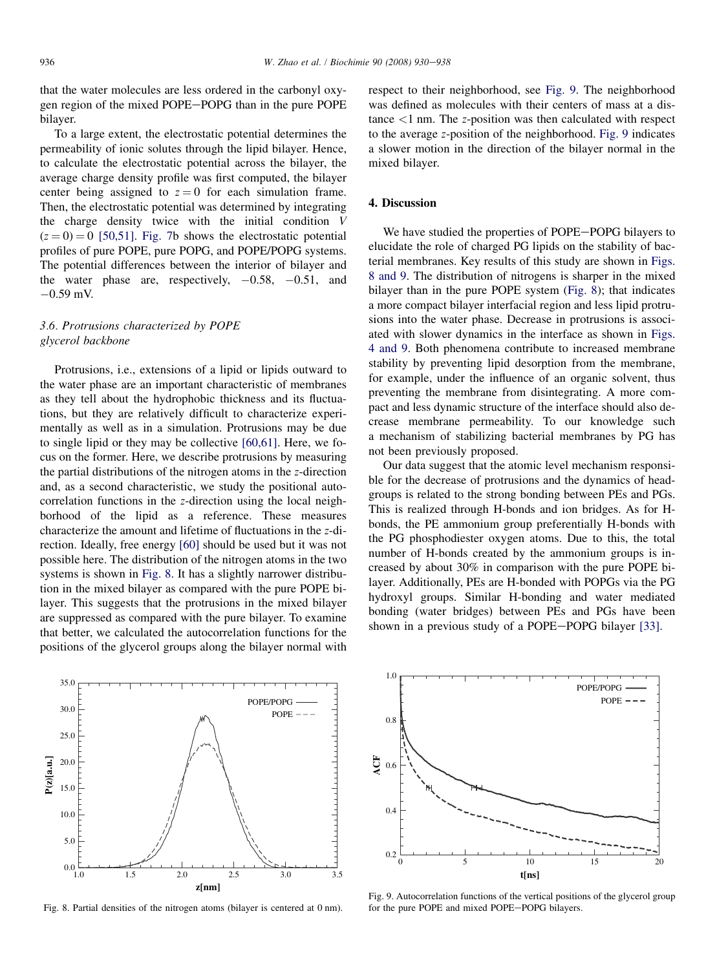<span id="page-6-0"></span>that the water molecules are less ordered in the carbonyl oxygen region of the mixed POPE-POPG than in the pure POPE bilayer.

To a large extent, the electrostatic potential determines the permeability of ionic solutes through the lipid bilayer. Hence, to calculate the electrostatic potential across the bilayer, the average charge density profile was first computed, the bilayer center being assigned to  $z = 0$  for each simulation frame. Then, the electrostatic potential was determined by integrating the charge density twice with the initial condition V  $(z = 0) = 0$  [\[50,51\].](#page-8-0) [Fig. 7](#page-5-0)b shows the electrostatic potential profiles of pure POPE, pure POPG, and POPE/POPG systems. The potential differences between the interior of bilayer and the water phase are, respectively,  $-0.58$ ,  $-0.51$ , and  $-0.59$  mV.

# 3.6. Protrusions characterized by POPE glycerol backbone

Protrusions, i.e., extensions of a lipid or lipids outward to the water phase are an important characteristic of membranes as they tell about the hydrophobic thickness and its fluctuations, but they are relatively difficult to characterize experimentally as well as in a simulation. Protrusions may be due to single lipid or they may be collective [\[60,61\].](#page-8-0) Here, we focus on the former. Here, we describe protrusions by measuring the partial distributions of the nitrogen atoms in the z-direction and, as a second characteristic, we study the positional autocorrelation functions in the z-direction using the local neighborhood of the lipid as a reference. These measures characterize the amount and lifetime of fluctuations in the z-direction. Ideally, free energy [\[60\]](#page-8-0) should be used but it was not possible here. The distribution of the nitrogen atoms in the two systems is shown in Fig. 8. It has a slightly narrower distribution in the mixed bilayer as compared with the pure POPE bilayer. This suggests that the protrusions in the mixed bilayer are suppressed as compared with the pure bilayer. To examine that better, we calculated the autocorrelation functions for the positions of the glycerol groups along the bilayer normal with



Fig. 8. Partial densities of the nitrogen atoms (bilayer is centered at 0 nm).

respect to their neighborhood, see Fig. 9. The neighborhood was defined as molecules with their centers of mass at a dis $t$ ance  $\leq 1$  nm. The *z*-position was then calculated with respect to the average z-position of the neighborhood. Fig. 9 indicates a slower motion in the direction of the bilayer normal in the mixed bilayer.

## 4. Discussion

We have studied the properties of POPE-POPG bilayers to elucidate the role of charged PG lipids on the stability of bacterial membranes. Key results of this study are shown in Figs. 8 and 9. The distribution of nitrogens is sharper in the mixed bilayer than in the pure POPE system (Fig. 8); that indicates a more compact bilayer interfacial region and less lipid protrusions into the water phase. Decrease in protrusions is associated with slower dynamics in the interface as shown in [Figs.](#page-4-0) [4 and 9.](#page-4-0) Both phenomena contribute to increased membrane stability by preventing lipid desorption from the membrane, for example, under the influence of an organic solvent, thus preventing the membrane from disintegrating. A more compact and less dynamic structure of the interface should also decrease membrane permeability. To our knowledge such a mechanism of stabilizing bacterial membranes by PG has not been previously proposed.

Our data suggest that the atomic level mechanism responsible for the decrease of protrusions and the dynamics of headgroups is related to the strong bonding between PEs and PGs. This is realized through H-bonds and ion bridges. As for Hbonds, the PE ammonium group preferentially H-bonds with the PG phosphodiester oxygen atoms. Due to this, the total number of H-bonds created by the ammonium groups is increased by about 30% in comparison with the pure POPE bilayer. Additionally, PEs are H-bonded with POPGs via the PG hydroxyl groups. Similar H-bonding and water mediated bonding (water bridges) between PEs and PGs have been shown in a previous study of a POPE-POPG bilayer [\[33\].](#page-8-0)



Fig. 9. Autocorrelation functions of the vertical positions of the glycerol group for the pure POPE and mixed POPE-POPG bilayers.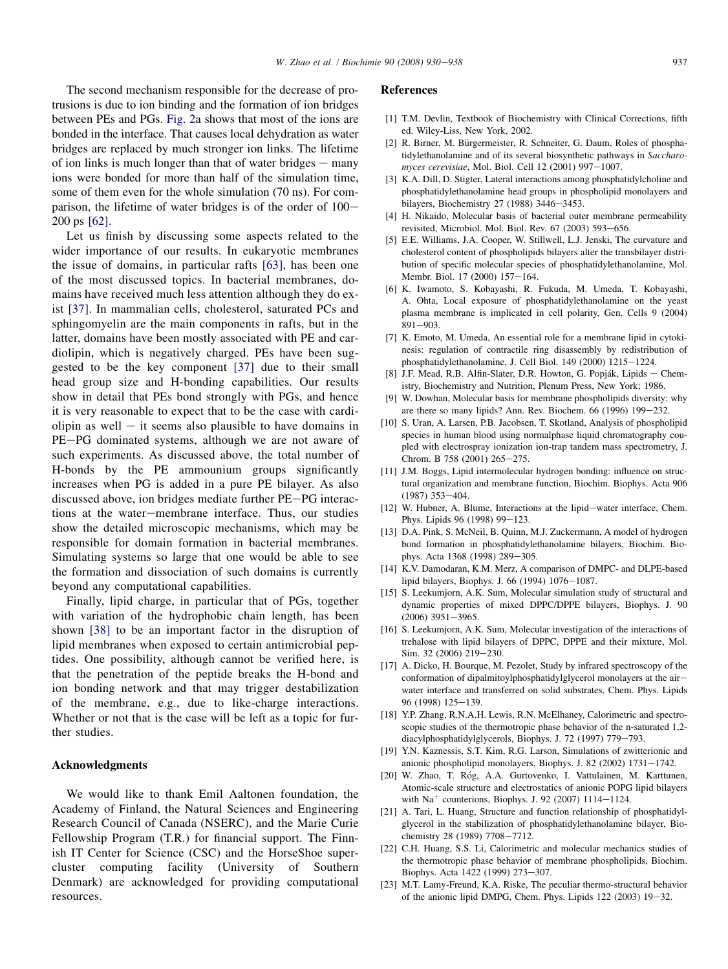<span id="page-7-0"></span>The second mechanism responsible for the decrease of protrusions is due to ion binding and the formation of ion bridges between PEs and PGs. [Fig. 2](#page-3-0)a shows that most of the ions are bonded in the interface. That causes local dehydration as water bridges are replaced by much stronger ion links. The lifetime of ion links is much longer than that of water bridges  $-$  many ions were bonded for more than half of the simulation time, some of them even for the whole simulation (70 ns). For comparison, the lifetime of water bridges is of the order of  $100-$ 200 ps [\[62\].](#page-8-0)

Let us finish by discussing some aspects related to the wider importance of our results. In eukaryotic membranes the issue of domains, in particular rafts [\[63\],](#page-8-0) has been one of the most discussed topics. In bacterial membranes, domains have received much less attention although they do exist [\[37\].](#page-8-0) In mammalian cells, cholesterol, saturated PCs and sphingomyelin are the main components in rafts, but in the latter, domains have been mostly associated with PE and cardiolipin, which is negatively charged. PEs have been suggested to be the key component [\[37\]](#page-8-0) due to their small head group size and H-bonding capabilities. Our results show in detail that PEs bond strongly with PGs, and hence it is very reasonable to expect that to be the case with cardiolipin as well  $-$  it seems also plausible to have domains in PE-PG dominated systems, although we are not aware of such experiments. As discussed above, the total number of H-bonds by the PE ammounium groups significantly increases when PG is added in a pure PE bilayer. As also discussed above, ion bridges mediate further PE-PG interactions at the water-membrane interface. Thus, our studies show the detailed microscopic mechanisms, which may be responsible for domain formation in bacterial membranes. Simulating systems so large that one would be able to see the formation and dissociation of such domains is currently beyond any computational capabilities.

Finally, lipid charge, in particular that of PGs, together with variation of the hydrophobic chain length, has been shown [\[38\]](#page-8-0) to be an important factor in the disruption of lipid membranes when exposed to certain antimicrobial peptides. One possibility, although cannot be verified here, is that the penetration of the peptide breaks the H-bond and ion bonding network and that may trigger destabilization of the membrane, e.g., due to like-charge interactions. Whether or not that is the case will be left as a topic for further studies.

# Acknowledgments

We would like to thank Emil Aaltonen foundation, the Academy of Finland, the Natural Sciences and Engineering Research Council of Canada (NSERC), and the Marie Curie Fellowship Program (T.R.) for financial support. The Finnish IT Center for Science (CSC) and the HorseShoe supercluster computing facility (University of Southern Denmark) are acknowledged for providing computational resources.

# References

- [1] T.M. Devlin, Textbook of Biochemistry with Clinical Corrections, fifth ed. Wiley-Liss, New York, 2002.
- [2] R. Birner, M. Bürgermeister, R. Schneiter, G. Daum, Roles of phosphatidylethanolamine and of its several biosynthetic pathways in Saccharomyces cerevisiae, Mol. Biol. Cell  $12$  (2001) 997-1007.
- [3] K.A. Dill, D. Stigter, Lateral interactions among phosphatidylcholine and phosphatidylethanolamine head groups in phospholipid monolayers and bilayers, Biochemistry 27 (1988) 3446-3453.
- [4] H. Nikaido, Molecular basis of bacterial outer membrane permeability revisited, Microbiol. Mol. Biol. Rev. 67 (2003) 593-656.
- [5] E.E. Williams, J.A. Cooper, W. Stillwell, L.J. Jenski, The curvature and cholesterol content of phospholipids bilayers alter the transbilayer distribution of specific molecular species of phosphatidylethanolamine, Mol. Membr. Biol. 17 (2000) 157-164.
- [6] K. Iwamoto, S. Kobayashi, R. Fukuda, M. Umeda, T. Kobayashi, A. Ohta, Local exposure of phosphatidylethanolamine on the yeast plasma membrane is implicated in cell polarity, Gen. Cells 9 (2004) 891-903.
- [7] K. Emoto, M. Umeda, An essential role for a membrane lipid in cytokinesis: regulation of contractile ring disassembly by redistribution of phosphatidylethanolamine, J. Cell Biol.  $149$  (2000)  $1215-1224$ .
- [8] J.F. Mead, R.B. Alfin-Slater, D.R. Howton, G. Popják, Lipids Chemistry, Biochemistry and Nutrition, Plenum Press, New York; 1986.
- [9] W. Dowhan, Molecular basis for membrane phospholipids diversity: why are there so many lipids? Ann. Rev. Biochem.  $66$  (1996) 199 $-232$ .
- [10] S. Uran, A. Larsen, P.B. Jacobsen, T. Skotland, Analysis of phospholipid species in human blood using normalphase liquid chromatography coupled with electrospray ionization ion-trap tandem mass spectrometry, J. Chrom. B 758 (2001) 265-275.
- [11] J.M. Boggs, Lipid intermolecular hydrogen bonding: influence on structural organization and membrane function, Biochim. Biophys. Acta 906  $(1987)$  353-404.
- [12] W. Hubner, A. Blume, Interactions at the lipid-water interface, Chem. Phys. Lipids 96 (1998) 99-123.
- [13] D.A. Pink, S. McNeil, B. Quinn, M.J. Zuckermann, A model of hydrogen bond formation in phosphatidylethanolamine bilayers, Biochim. Biophys. Acta 1368 (1998) 289-305.
- [14] K.V. Damodaran, K.M. Merz, A comparison of DMPC- and DLPE-based lipid bilayers, Biophys. J. 66 (1994) 1076-1087.
- [15] S. Leekumjorn, A.K. Sum, Molecular simulation study of structural and dynamic properties of mixed DPPC/DPPE bilayers, Biophys. J. 90  $(2006)$  3951-3965.
- [16] S. Leekumjorn, A.K. Sum, Molecular investigation of the interactions of trehalose with lipid bilayers of DPPC, DPPE and their mixture, Mol. Sim. 32 (2006) 219-230.
- [17] A. Dicko, H. Bourque, M. Pezolet, Study by infrared spectroscopy of the conformation of dipalmitoylphosphatidylglycerol monolayers at the airwater interface and transferred on solid substrates, Chem. Phys. Lipids 96 (1998) 125-139.
- [18] Y.P. Zhang, R.N.A.H. Lewis, R.N. McElhaney, Calorimetric and spectroscopic studies of the thermotropic phase behavior of the n-saturated 1,2 diacylphosphatidylglycerols, Biophys. J. 72 (1997) 779-793.
- [19] Y.N. Kaznessis, S.T. Kim, R.G. Larson, Simulations of zwitterionic and anionic phospholipid monolayers, Biophys. J. 82 (2002) 1731-1742.
- [20] W. Zhao, T. Róg, A.A. Gurtovenko, I. Vattulainen, M. Karttunen, Atomic-scale structure and electrostatics of anionic POPG lipid bilayers with  $Na<sup>+</sup>$  counterions, Biophys. J. 92 (2007) 1114-1124.
- [21] A. Tari, L. Huang, Structure and function relationship of phosphatidylglycerol in the stabilization of phosphatidylethanolamine bilayer, Biochemistry 28 (1989) 7708-7712.
- [22] C.H. Huang, S.S. Li, Calorimetric and molecular mechanics studies of the thermotropic phase behavior of membrane phospholipids, Biochim. Biophys. Acta 1422 (1999) 273-307.
- [23] M.T. Lamy-Freund, K.A. Riske, The peculiar thermo-structural behavior of the anionic lipid DMPG, Chem. Phys. Lipids  $122$  (2003)  $19-32$ .